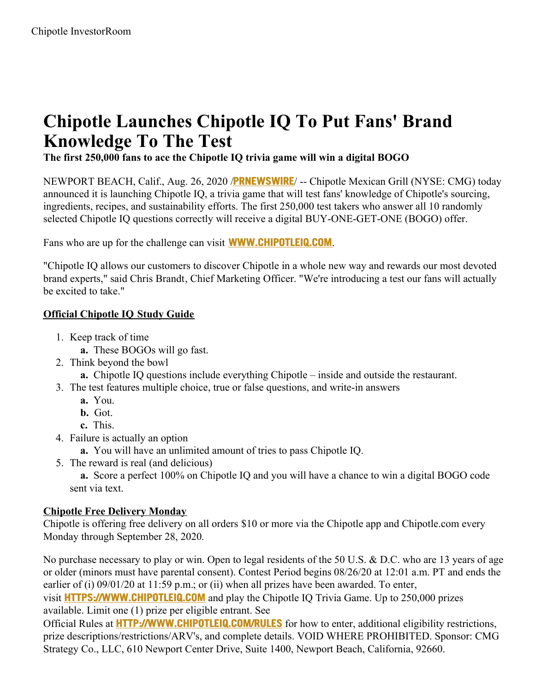## **Chipotle Launches Chipotle IQ To Put Fans' Brand Knowledge To The Test**

**The first 250,000 fans to ace the Chipotle IQ trivia game will win a digital BOGO**

NEWPORT BEACH, Calif., Aug. 26, 2020 /**[PRNEWSWIRE](http://www.prnewswire.com/)**/ -- Chipotle Mexican Grill (NYSE: CMG) today announced it is launching Chipotle IQ, a trivia game that will test fans' knowledge of Chipotle's sourcing, ingredients, recipes, and sustainability efforts. The first 250,000 test takers who answer all 10 randomly selected Chipotle IQ questions correctly will receive a digital BUY-ONE-GET-ONE (BOGO) offer.

Fans who are up for the challenge can visit **[WWW.CHIPOTLEIQ.COM](https://c212.net/c/link/?t=0&l=en&o=2899653-1&h=377648470&u=http%3A%2F%2Fwww.chipotleiq.com%2F&a=www.chipotleiq.com)**.

"Chipotle IQ allows our customers to discover Chipotle in a whole new way and rewards our most devoted brand experts," said Chris Brandt, Chief Marketing Officer. "We're introducing a test our fans will actually be excited to take."

## **Official Chipotle IQ Study Guide**

- 1. Keep track of time
	- **a.** These BOGOs will go fast.
- 2. Think beyond the bowl
	- **a.** Chipotle IQ questions include everything Chipotle inside and outside the restaurant.
- 3. The test features multiple choice, true or false questions, and write-in answers
	- **a.** You.
	- **b.** Got.
	- **c.** This.
- 4. Failure is actually an option
	- **a.** You will have an unlimited amount of tries to pass Chipotle IQ.
- 5. The reward is real (and delicious)

**a.** Score a perfect 100% on Chipotle IQ and you will have a chance to win a digital BOGO code sent via text.

## **Chipotle Free Delivery Monday**

Chipotle is offering free delivery on all orders \$10 or more via the Chipotle app and Chipotle.com every Monday through September 28, 2020.

No purchase necessary to play or win. Open to legal residents of the 50 U.S. & D.C. who are 13 years of age or older (minors must have parental consent). Contest Period begins 08/26/20 at 12:01 a.m. PT and ends the earlier of (i) 09/01/20 at 11:59 p.m.; or (ii) when all prizes have been awarded. To enter,

visit **[HTTPS://WWW.CHIPOTLEIQ.COM](https://c212.net/c/link/?t=0&l=en&o=2899653-1&h=1654472095&u=https%3A%2F%2Fwww.chipotleiq.com%2F&a=https%3A%2F%2Fwww.chipotleiq.com)** and play the Chipotle IQ Trivia Game. Up to 250,000 prizes available. Limit one (1) prize per eligible entrant. See

Official Rules at **[HTTP://WWW.CHIPOTLEIQ.COM/RULES](https://c212.net/c/link/?t=0&l=en&o=2899653-1&h=167369778&u=http%3A%2F%2Fwww.chipotleiq.com%2Frules&a=http%3A%2F%2Fwww.chipotleiq.com%2Frules)** for how to enter, additional eligibility restrictions, prize descriptions/restrictions/ARV's, and complete details. VOID WHERE PROHIBITED. Sponsor: CMG Strategy Co., LLC, 610 Newport Center Drive, Suite 1400, Newport Beach, California, 92660.